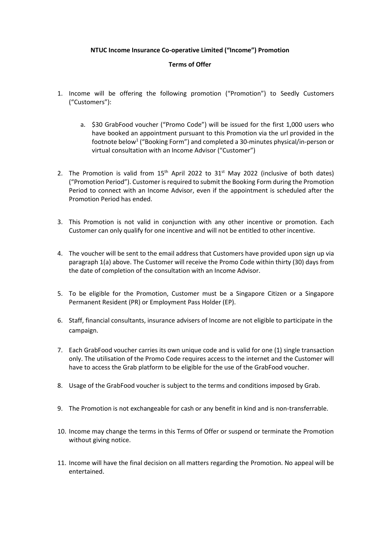## **NTUC Income Insurance Co-operative Limited ("Income") Promotion**

## **Terms of Offer**

- 1. Income will be offering the following promotion ("Promotion") to Seedly Customers ("Customers"):
	- a. \$30 GrabFood voucher ("Promo Code") will be issued for the first 1,000 users who have booked an appointment pursuant to this Promotion via the url provided in the footnote below<sup>1</sup> ("Booking Form") and completed a 30-minutes physical/in-person or virtual consultation with an Income Advisor ("Customer")
- 2. The Promotion is valid from  $15<sup>th</sup>$  April 2022 to  $31<sup>st</sup>$  May 2022 (inclusive of both dates) ("Promotion Period"). Customer is required to submit the Booking Form during the Promotion Period to connect with an Income Advisor, even if the appointment is scheduled after the Promotion Period has ended.
- 3. This Promotion is not valid in conjunction with any other incentive or promotion. Each Customer can only qualify for one incentive and will not be entitled to other incentive.
- 4. The voucher will be sent to the email address that Customers have provided upon sign up via paragraph 1(a) above. The Customer will receive the Promo Code within thirty (30) days from the date of completion of the consultation with an Income Advisor.
- 5. To be eligible for the Promotion, Customer must be a Singapore Citizen or a Singapore Permanent Resident (PR) or Employment Pass Holder (EP).
- 6. Staff, financial consultants, insurance advisers of Income are not eligible to participate in the campaign.
- 7. Each GrabFood voucher carries its own unique code and is valid for one (1) single transaction only. The utilisation of the Promo Code requires access to the internet and the Customer will have to access the Grab platform to be eligible for the use of the GrabFood voucher.
- 8. Usage of the GrabFood voucher is subject to the terms and conditions imposed by Grab.
- 9. The Promotion is not exchangeable for cash or any benefit in kind and is non-transferrable.
- 10. Income may change the terms in this Terms of Offer or suspend or terminate the Promotion without giving notice.
- 11. Income will have the final decision on all matters regarding the Promotion. No appeal will be entertained.